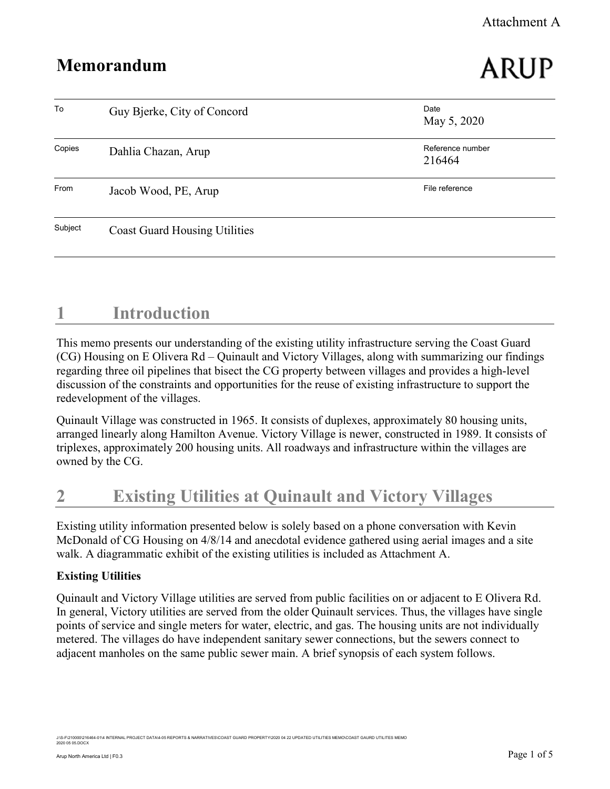### Attachment A

# Memorandum

# ARUP

| To      | Guy Bjerke, City of Concord          | Date<br>May 5, 2020        |
|---------|--------------------------------------|----------------------------|
| Copies  | Dahlia Chazan, Arup                  | Reference number<br>216464 |
| From    | Jacob Wood, PE, Arup                 | File reference             |
| Subject | <b>Coast Guard Housing Utilities</b> |                            |

### 1 Introduction

This memo presents our understanding of the existing utility infrastructure serving the Coast Guard (CG) Housing on E Olivera Rd – Quinault and Victory Villages, along with summarizing our findings regarding three oil pipelines that bisect the CG property between villages and provides a high-level discussion of the constraints and opportunities for the reuse of existing infrastructure to support the redevelopment of the villages.

Quinault Village was constructed in 1965. It consists of duplexes, approximately 80 housing units, arranged linearly along Hamilton Avenue. Victory Village is newer, constructed in 1989. It consists of triplexes, approximately 200 housing units. All roadways and infrastructure within the villages are owned by the CG.

# 2 Existing Utilities at Quinault and Victory Villages

Existing utility information presented below is solely based on a phone conversation with Kevin McDonald of CG Housing on 4/8/14 and anecdotal evidence gathered using aerial images and a site walk. A diagrammatic exhibit of the existing utilities is included as Attachment A.

### Existing Utilities

Quinault and Victory Village utilities are served from public facilities on or adjacent to E Olivera Rd. In general, Victory utilities are served from the older Quinault services. Thus, the villages have single points of service and single meters for water, electric, and gas. The housing units are not individually metered. The villages do have independent sanitary sewer connections, but the sewers connect to adjacent manholes on the same public sewer main. A brief synopsis of each system follows.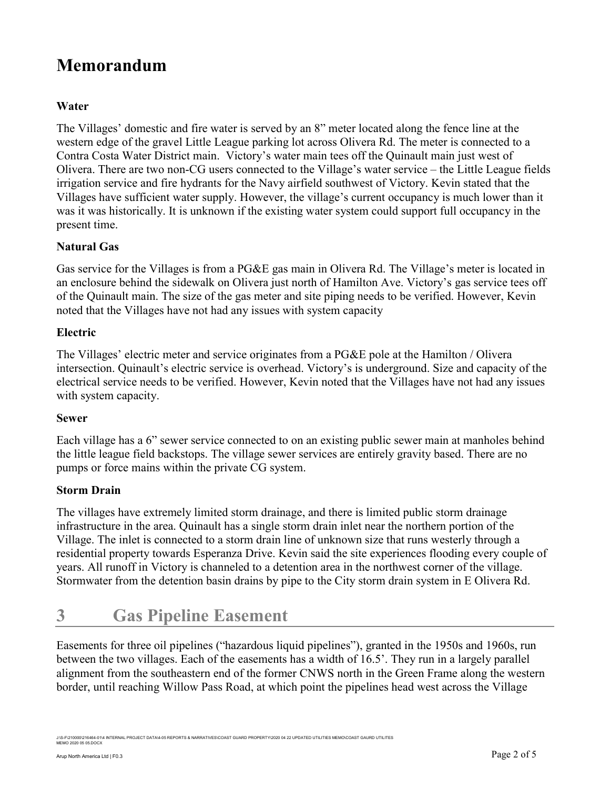### Water

The Villages' domestic and fire water is served by an 8" meter located along the fence line at the western edge of the gravel Little League parking lot across Olivera Rd. The meter is connected to a Contra Costa Water District main. Victory's water main tees off the Quinault main just west of Olivera. There are two non-CG users connected to the Village's water service – the Little League fields irrigation service and fire hydrants for the Navy airfield southwest of Victory. Kevin stated that the Villages have sufficient water supply. However, the village's current occupancy is much lower than it was it was historically. It is unknown if the existing water system could support full occupancy in the present time.

### Natural Gas

Gas service for the Villages is from a PG&E gas main in Olivera Rd. The Village's meter is located in an enclosure behind the sidewalk on Olivera just north of Hamilton Ave. Victory's gas service tees off of the Quinault main. The size of the gas meter and site piping needs to be verified. However, Kevin noted that the Villages have not had any issues with system capacity

### Electric

The Villages' electric meter and service originates from a PG&E pole at the Hamilton / Olivera intersection. Quinault's electric service is overhead. Victory's is underground. Size and capacity of the electrical service needs to be verified. However, Kevin noted that the Villages have not had any issues with system capacity.

#### Sewer

Each village has a 6" sewer service connected to on an existing public sewer main at manholes behind the little league field backstops. The village sewer services are entirely gravity based. There are no pumps or force mains within the private CG system.

### Storm Drain

The villages have extremely limited storm drainage, and there is limited public storm drainage infrastructure in the area. Quinault has a single storm drain inlet near the northern portion of the Village. The inlet is connected to a storm drain line of unknown size that runs westerly through a residential property towards Esperanza Drive. Kevin said the site experiences flooding every couple of years. All runoff in Victory is channeled to a detention area in the northwest corner of the village. Stormwater from the detention basin drains by pipe to the City storm drain system in E Olivera Rd.

## 3 Gas Pipeline Easement

Easements for three oil pipelines ("hazardous liquid pipelines"), granted in the 1950s and 1960s, run between the two villages. Each of the easements has a width of 16.5'. They run in a largely parallel alignment from the southeastern end of the former CNWS north in the Green Frame along the western border, until reaching Willow Pass Road, at which point the pipelines head west across the Village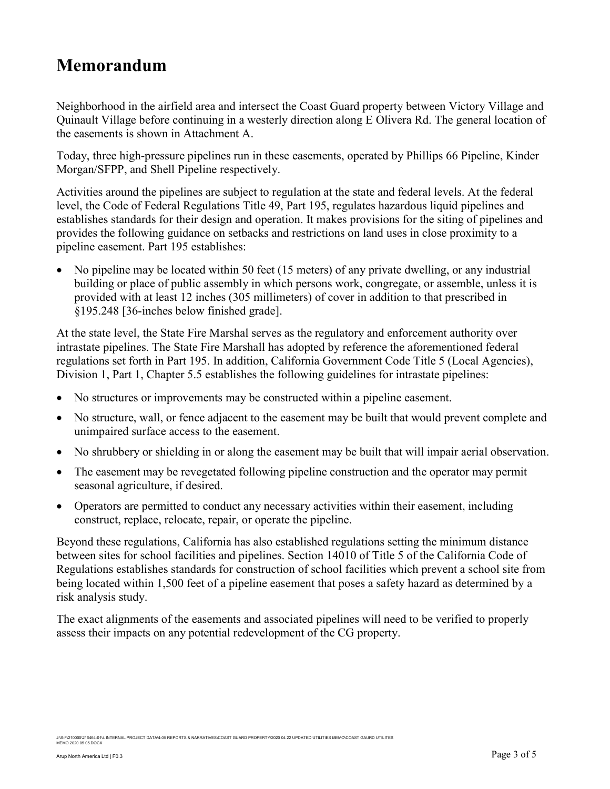Neighborhood in the airfield area and intersect the Coast Guard property between Victory Village and Quinault Village before continuing in a westerly direction along E Olivera Rd. The general location of the easements is shown in Attachment A.

Today, three high-pressure pipelines run in these easements, operated by Phillips 66 Pipeline, Kinder Morgan/SFPP, and Shell Pipeline respectively.

Activities around the pipelines are subject to regulation at the state and federal levels. At the federal level, the Code of Federal Regulations Title 49, Part 195, regulates hazardous liquid pipelines and establishes standards for their design and operation. It makes provisions for the siting of pipelines and provides the following guidance on setbacks and restrictions on land uses in close proximity to a pipeline easement. Part 195 establishes:

 No pipeline may be located within 50 feet (15 meters) of any private dwelling, or any industrial building or place of public assembly in which persons work, congregate, or assemble, unless it is provided with at least 12 inches (305 millimeters) of cover in addition to that prescribed in §195.248 [36-inches below finished grade].

At the state level, the State Fire Marshal serves as the regulatory and enforcement authority over intrastate pipelines. The State Fire Marshall has adopted by reference the aforementioned federal regulations set forth in Part 195. In addition, California Government Code Title 5 (Local Agencies), Division 1, Part 1, Chapter 5.5 establishes the following guidelines for intrastate pipelines:

- No structures or improvements may be constructed within a pipeline easement.
- No structure, wall, or fence adjacent to the easement may be built that would prevent complete and unimpaired surface access to the easement.
- No shrubbery or shielding in or along the easement may be built that will impair aerial observation.
- The easement may be revegetated following pipeline construction and the operator may permit seasonal agriculture, if desired.
- Operators are permitted to conduct any necessary activities within their easement, including construct, replace, relocate, repair, or operate the pipeline.

Beyond these regulations, California has also established regulations setting the minimum distance between sites for school facilities and pipelines. Section 14010 of Title 5 of the California Code of Regulations establishes standards for construction of school facilities which prevent a school site from being located within 1,500 feet of a pipeline easement that poses a safety hazard as determined by a risk analysis study.

The exact alignments of the easements and associated pipelines will need to be verified to properly assess their impacts on any potential redevelopment of the CG property.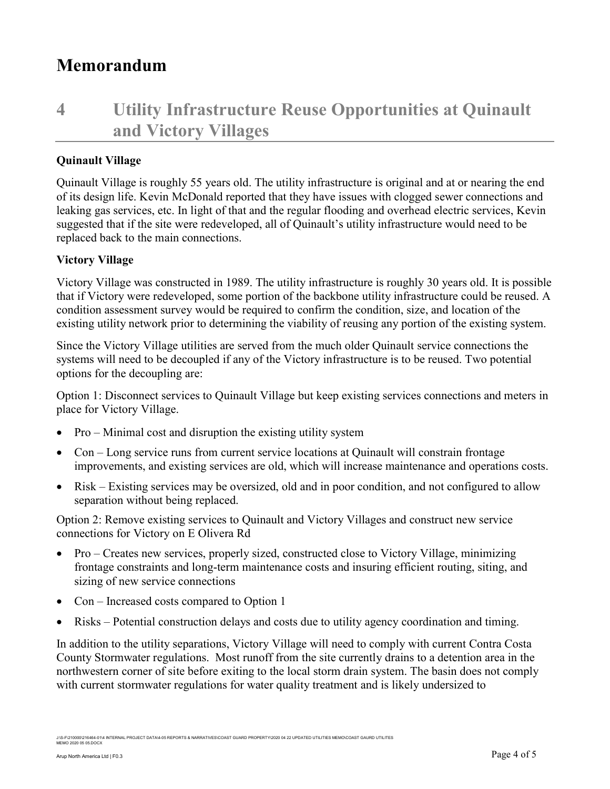# 4 Utility Infrastructure Reuse Opportunities at Quinault and Victory Villages

### Quinault Village

Quinault Village is roughly 55 years old. The utility infrastructure is original and at or nearing the end of its design life. Kevin McDonald reported that they have issues with clogged sewer connections and leaking gas services, etc. In light of that and the regular flooding and overhead electric services, Kevin suggested that if the site were redeveloped, all of Quinault's utility infrastructure would need to be replaced back to the main connections.

### Victory Village

Victory Village was constructed in 1989. The utility infrastructure is roughly 30 years old. It is possible that if Victory were redeveloped, some portion of the backbone utility infrastructure could be reused. A condition assessment survey would be required to confirm the condition, size, and location of the existing utility network prior to determining the viability of reusing any portion of the existing system.

Since the Victory Village utilities are served from the much older Quinault service connections the systems will need to be decoupled if any of the Victory infrastructure is to be reused. Two potential options for the decoupling are:

Option 1: Disconnect services to Quinault Village but keep existing services connections and meters in place for Victory Village.

- Pro Minimal cost and disruption the existing utility system
- Con Long service runs from current service locations at Quinault will constrain frontage improvements, and existing services are old, which will increase maintenance and operations costs.
- Risk Existing services may be oversized, old and in poor condition, and not configured to allow separation without being replaced.

Option 2: Remove existing services to Quinault and Victory Villages and construct new service connections for Victory on E Olivera Rd

- Pro Creates new services, properly sized, constructed close to Victory Village, minimizing frontage constraints and long-term maintenance costs and insuring efficient routing, siting, and sizing of new service connections
- Con Increased costs compared to Option 1
- Risks Potential construction delays and costs due to utility agency coordination and timing.

In addition to the utility separations, Victory Village will need to comply with current Contra Costa County Stormwater regulations. Most runoff from the site currently drains to a detention area in the northwestern corner of site before exiting to the local storm drain system. The basin does not comply with current stormwater regulations for water quality treatment and is likely undersized to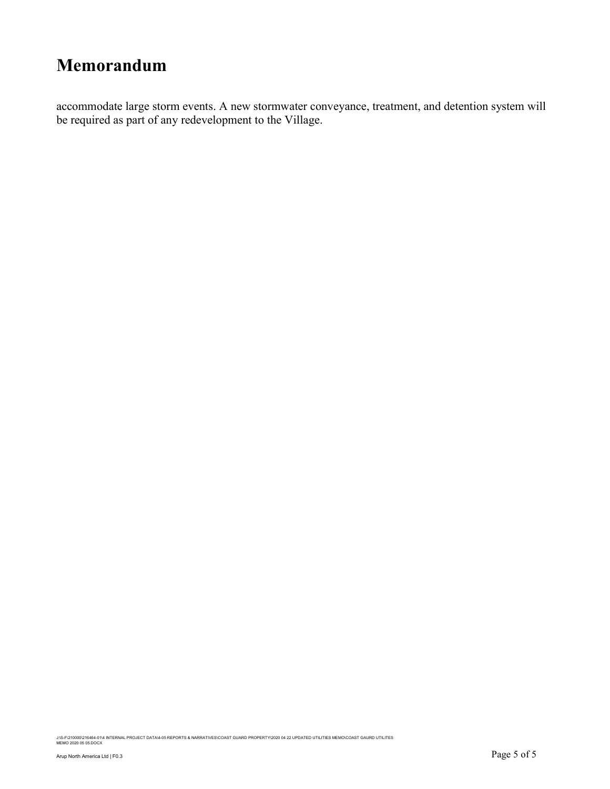accommodate large storm events. A new stormwater conveyance, treatment, and detention system will be required as part of any redevelopment to the Village.